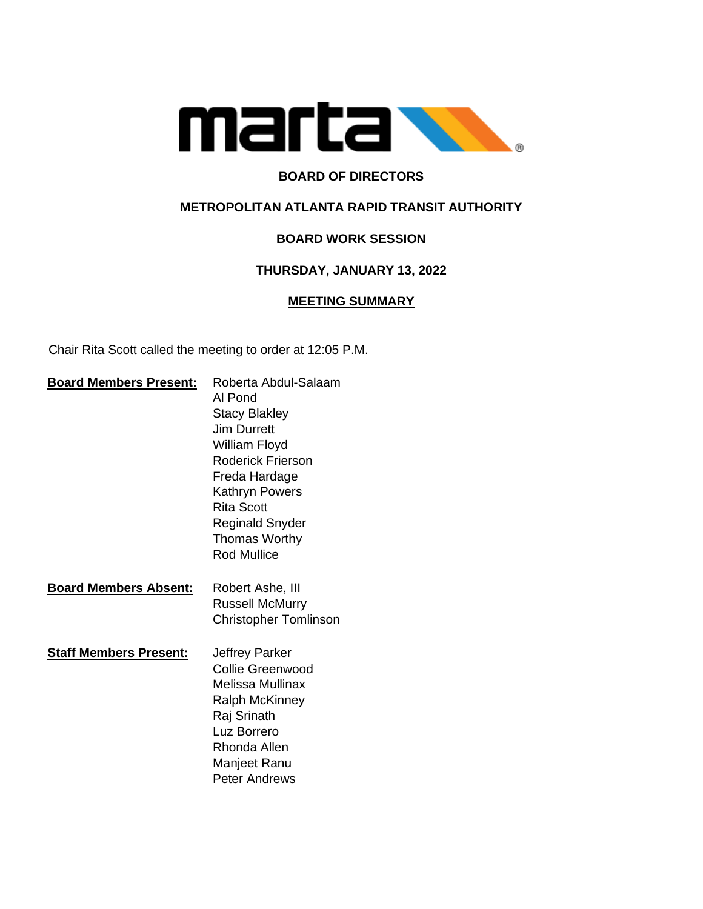

# **BOARD OF DIRECTORS**

### **METROPOLITAN ATLANTA RAPID TRANSIT AUTHORITY**

# **BOARD WORK SESSION**

#### **THURSDAY, JANUARY 13, 2022**

#### **MEETING SUMMARY**

Chair Rita Scott called the meeting to order at 12:05 P.M.

| <b>Board Members Present:</b> | Roberta Abdul-Salaam<br>Al Pond<br><b>Stacy Blakley</b><br><b>Jim Durrett</b><br>William Floyd<br><b>Roderick Frierson</b><br>Freda Hardage<br><b>Kathryn Powers</b><br><b>Rita Scott</b><br>Reginald Snyder<br><b>Thomas Worthy</b><br><b>Rod Mullice</b> |
|-------------------------------|------------------------------------------------------------------------------------------------------------------------------------------------------------------------------------------------------------------------------------------------------------|
| <b>Board Members Absent:</b>  | Robert Ashe, III<br><b>Russell McMurry</b><br><b>Christopher Tomlinson</b>                                                                                                                                                                                 |
| <b>Staff Members Present:</b> | Jeffrey Parker<br>Collie Greenwood<br><b>Melissa Mullinax</b><br><b>Ralph McKinney</b><br>Raj Srinath<br>Luz Borrero<br>Rhonda Allen<br>Manjeet Ranu<br><b>Peter Andrews</b>                                                                               |